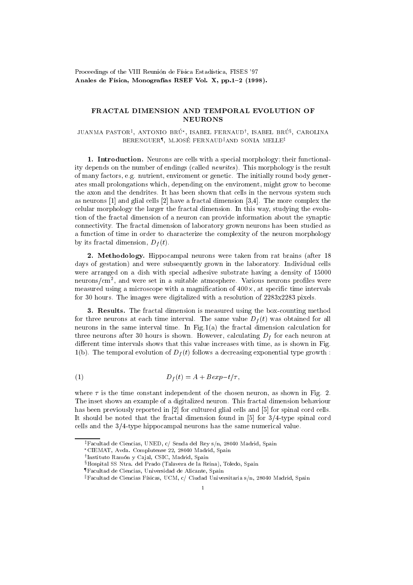Proceedings of the VIII Reunión de Física Estadística, FISES '97 Anales de Física, Monografías RSEF Vol. X, pp.1-2 (1998).

## **NEURONS**

JUANMA PASION<sup>+</sup>, ANTONIO BRU , ISABEL PERNAUD<sup>)</sup>, ISABEL BRU<sup>3</sup>, CAROLINA BERENGUER", M.JOSE FERNAUD"AND SONIA MELLE<del>!</del>

1. Introduction. Neurons are cells with a special morphology; their functionality depends on the number of endings (called neurites). This morphology is the result of many factors, e.g. nutrient, enviroment or genetic. The initially round body generates small prolongations which, depending on the enviroment, might grow to becomethe axon and the dendrites. It has been shown that cells in the nervous system such as freurons [1] and grial cells [2] have a fractal dimension [3,4]. The more complex the  $\alpha$ celular morphology the larger the fractal dimension. In this way, studying the evolution of the fractal dimension of a neuron can provide information about the synapticconnectivity. The fractal dimension of laboratory grown neurons has been studied as a function of time in order to characterize the complexity of the neuron morphologyby its fractal dimension,  $D_f(v)$ .

2. Methodology. Hippocampal neurons were taken from rat brains (after <sup>18</sup> days of gestation) and were subsequently grown in the laboratory. Individual cells were arranged on a dish with special adhesive substrate having a density of 150000 neurons/ $\rm cm^2$ , and were set in a suitable atmosphere. Various neurons profiles were  $_{\rm{mca\,sute}}$  asing a microscope with a magnification of 400 $\times$ , at specific time intervals for 30 hours. The images were digitalized with a resolution of 2283x2283 pixels.

3. Results. The fractal dimension is measured using the box-counting method for three neurons at each time interval. The same value  $Df(t)$  was obtained for all neurons in the same interval time. In Fig.1(a) the fractal dimension calculation for three neurons after 30 hours is shown. However, calculating  $D_f$  for each neuron at different time intervals shows that this value increases with time, as is shown in Fig.  $1(v)$ . The temporal evolution of  $Df(t)$  follows a decreasing exponential type growth .

$$
(1) \tDf(t) = A + Bexp-t/\tau,
$$

where is the time constant independent of the chosen neuron, as shown in Fig. 2. The inset shows an example of a digitalized neuron. This fractal dimension behaviour has been previously reported in [2] for cultured glial cells and [5] for spinal cord cells. It should be noted that the fractal dimension found in [5] for 3=4-type spinal cord cells and the  $3/4$ -type hippocampal neurons has the same numerical value.

zFacultad de Ciencias, UNED, c/ Senda del Rey s/n, 28040 Madrid, Spain

CIEMAT, Avda. Complutense 22, 28040 Madrid, Spain

<sup>y</sup> Instituto Ramon y Ca jal, CSIC, Madrid, Spain

 $$Hospital SS Ntra.$  del Prado (Talavera de la Reina), Toledo, Spain

<sup>{</sup>Facultad de Ciencias, Universidad de Alicante, Spain

 $\mathbb{F}$ Facultad de Ciencias Físicas, UCM, c/ Ciudad Universitaria s/n, 28040 Madrid, Spain